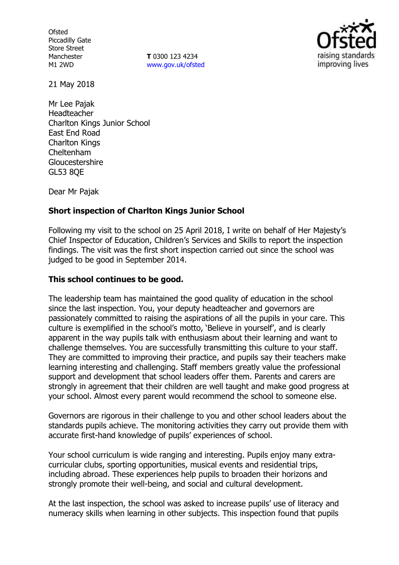**Ofsted** Piccadilly Gate Store Street Manchester M1 2WD

**T** 0300 123 4234 www.gov.uk/ofsted



21 May 2018

Mr Lee Pajak Headteacher Charlton Kings Junior School East End Road Charlton Kings Cheltenham Gloucestershire GL53 8QE

Dear Mr Pajak

## **Short inspection of Charlton Kings Junior School**

Following my visit to the school on 25 April 2018, I write on behalf of Her Majesty's Chief Inspector of Education, Children's Services and Skills to report the inspection findings. The visit was the first short inspection carried out since the school was judged to be good in September 2014.

#### **This school continues to be good.**

The leadership team has maintained the good quality of education in the school since the last inspection. You, your deputy headteacher and governors are passionately committed to raising the aspirations of all the pupils in your care. This culture is exemplified in the school's motto, 'Believe in yourself', and is clearly apparent in the way pupils talk with enthusiasm about their learning and want to challenge themselves. You are successfully transmitting this culture to your staff. They are committed to improving their practice, and pupils say their teachers make learning interesting and challenging. Staff members greatly value the professional support and development that school leaders offer them. Parents and carers are strongly in agreement that their children are well taught and make good progress at your school. Almost every parent would recommend the school to someone else.

Governors are rigorous in their challenge to you and other school leaders about the standards pupils achieve. The monitoring activities they carry out provide them with accurate first-hand knowledge of pupils' experiences of school.

Your school curriculum is wide ranging and interesting. Pupils enjoy many extracurricular clubs, sporting opportunities, musical events and residential trips, including abroad. These experiences help pupils to broaden their horizons and strongly promote their well-being, and social and cultural development.

At the last inspection, the school was asked to increase pupils' use of literacy and numeracy skills when learning in other subjects. This inspection found that pupils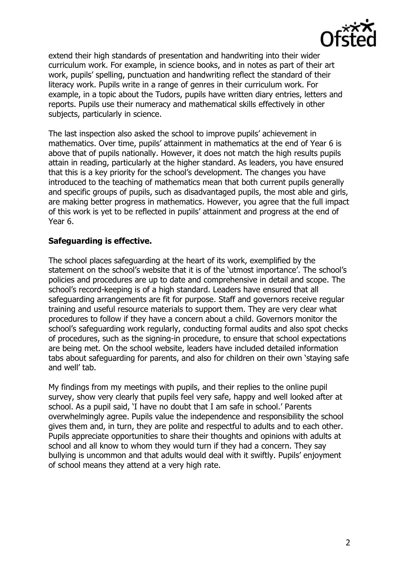

extend their high standards of presentation and handwriting into their wider curriculum work. For example, in science books, and in notes as part of their art work, pupils' spelling, punctuation and handwriting reflect the standard of their literacy work. Pupils write in a range of genres in their curriculum work. For example, in a topic about the Tudors, pupils have written diary entries, letters and reports. Pupils use their numeracy and mathematical skills effectively in other subjects, particularly in science.

The last inspection also asked the school to improve pupils' achievement in mathematics. Over time, pupils' attainment in mathematics at the end of Year 6 is above that of pupils nationally. However, it does not match the high results pupils attain in reading, particularly at the higher standard. As leaders, you have ensured that this is a key priority for the school's development. The changes you have introduced to the teaching of mathematics mean that both current pupils generally and specific groups of pupils, such as disadvantaged pupils, the most able and girls, are making better progress in mathematics. However, you agree that the full impact of this work is yet to be reflected in pupils' attainment and progress at the end of Year 6.

## **Safeguarding is effective.**

The school places safeguarding at the heart of its work, exemplified by the statement on the school's website that it is of the 'utmost importance'. The school's policies and procedures are up to date and comprehensive in detail and scope. The school's record-keeping is of a high standard. Leaders have ensured that all safeguarding arrangements are fit for purpose. Staff and governors receive regular training and useful resource materials to support them. They are very clear what procedures to follow if they have a concern about a child. Governors monitor the school's safeguarding work regularly, conducting formal audits and also spot checks of procedures, such as the signing-in procedure, to ensure that school expectations are being met. On the school website, leaders have included detailed information tabs about safeguarding for parents, and also for children on their own 'staying safe and well' tab.

My findings from my meetings with pupils, and their replies to the online pupil survey, show very clearly that pupils feel very safe, happy and well looked after at school. As a pupil said, 'I have no doubt that I am safe in school.' Parents overwhelmingly agree. Pupils value the independence and responsibility the school gives them and, in turn, they are polite and respectful to adults and to each other. Pupils appreciate opportunities to share their thoughts and opinions with adults at school and all know to whom they would turn if they had a concern. They say bullying is uncommon and that adults would deal with it swiftly. Pupils' enjoyment of school means they attend at a very high rate.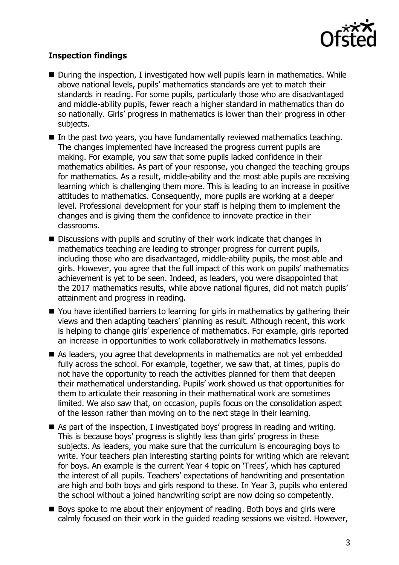

# **Inspection findings**

- During the inspection, I investigated how well pupils learn in mathematics. While above national levels, pupils' mathematics standards are yet to match their standards in reading. For some pupils, particularly those who are disadvantaged and middle-ability pupils, fewer reach a higher standard in mathematics than do so nationally. Girls' progress in mathematics is lower than their progress in other subjects.
- In the past two years, you have fundamentally reviewed mathematics teaching. The changes implemented have increased the progress current pupils are making. For example, you saw that some pupils lacked confidence in their mathematics abilities. As part of your response, you changed the teaching groups for mathematics. As a result, middle-ability and the most able pupils are receiving learning which is challenging them more. This is leading to an increase in positive attitudes to mathematics. Consequently, more pupils are working at a deeper level. Professional development for your staff is helping them to implement the changes and is giving them the confidence to innovate practice in their classrooms.
- Discussions with pupils and scrutiny of their work indicate that changes in mathematics teaching are leading to stronger progress for current pupils, including those who are disadvantaged, middle-ability pupils, the most able and girls. However, you agree that the full impact of this work on pupils' mathematics achievement is yet to be seen. Indeed, as leaders, you were disappointed that the 2017 mathematics results, while above national figures, did not match pupils' attainment and progress in reading.
- You have identified barriers to learning for girls in mathematics by gathering their views and then adapting teachers' planning as result. Although recent, this work is helping to change girls' experience of mathematics. For example, girls reported an increase in opportunities to work collaboratively in mathematics lessons.
- As leaders, you agree that developments in mathematics are not yet embedded fully across the school. For example, together, we saw that, at times, pupils do not have the opportunity to reach the activities planned for them that deepen their mathematical understanding. Pupils' work showed us that opportunities for them to articulate their reasoning in their mathematical work are sometimes limited. We also saw that, on occasion, pupils focus on the consolidation aspect of the lesson rather than moving on to the next stage in their learning.
- As part of the inspection, I investigated boys' progress in reading and writing. This is because boys' progress is slightly less than girls' progress in these subjects. As leaders, you make sure that the curriculum is encouraging boys to write. Your teachers plan interesting starting points for writing which are relevant for boys. An example is the current Year 4 topic on 'Trees', which has captured the interest of all pupils. Teachers' expectations of handwriting and presentation are high and both boys and girls respond to these. In Year 3, pupils who entered the school without a joined handwriting script are now doing so competently.
- Boys spoke to me about their enjoyment of reading. Both boys and girls were calmly focused on their work in the guided reading sessions we visited. However,